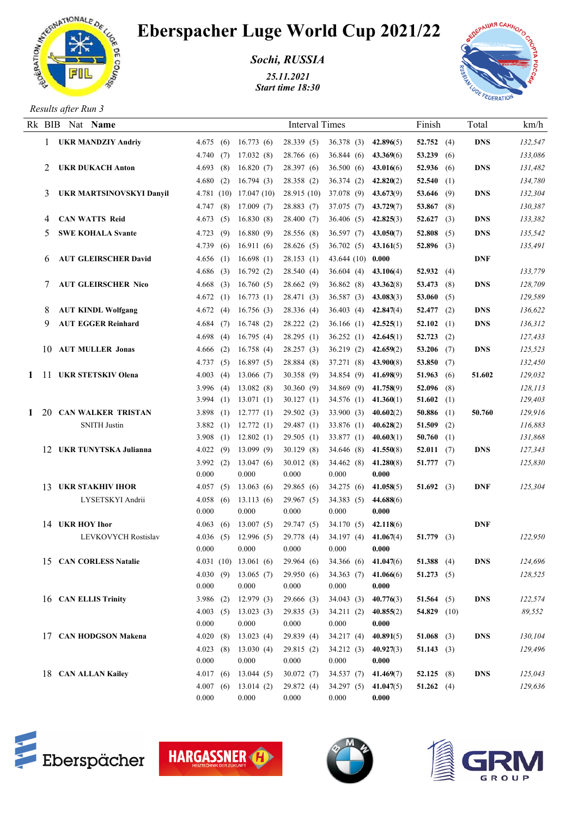

## Eberspacher Luge World Cup 2021/22

*Sochi, RUSSIA*

*25.11.2021 Start time 18:30*



*Results after Run 3*

|    | Rk BIB Nat Name                 |                         |     |                        | <b>Interval Times</b>   |                          |                        | Finish                     | Total      | km/h               |
|----|---------------------------------|-------------------------|-----|------------------------|-------------------------|--------------------------|------------------------|----------------------------|------------|--------------------|
|    | <b>UKR MANDZIY Andriy</b>       | 4.675(6)                |     | 16.773(6)              | 28.339(5)               | 36.378 (3) 42.896(5)     |                        | 52.752 $(4)$               | <b>DNS</b> | 132,547            |
|    |                                 | 4.740(7)                |     | 17.032(8)              | 28.766 (6)              | 36.844(6)                | 43.369(6)              | 53.239 (6)                 |            | 133,086            |
| 2  | <b>UKR DUKACH Anton</b>         | 4.693(8)                |     | 16.820(7)              | 28.397 (6)              | 36.500(6)                | 43.016(6)              | 52.936 $(6)$               | DNS        | 131,482            |
|    |                                 | 4.680(2)                |     | 16.794(3)              | 28.358 (2)              | 36.374(2)                | 42.820(2)              | 52.540 $(1)$               |            | 134,780            |
| 3  | <b>UKR MARTSINOVSKYI Danyil</b> | 4.781(10)               |     | 17.047(10)             | 28.915(10)              | 37.078 (9) 43.673(9)     |                        | 53.646 (9)                 | DNS        | 132,304            |
|    |                                 | 4.747(8)                |     | 17.009(7)              | 28.883(7)               | 37.075 (7) 43.729(7)     |                        | 53.867 $(8)$               |            | 130,387            |
| 4  | <b>CAN WATTS Reid</b>           | 4.673(5)                |     | 16.830(8)              | 28.400 (7)              | 36.406 (5) 42.825(3)     |                        | 52.627 $(3)$               | <b>DNS</b> | 133,382            |
| 5. | <b>SWE KOHALA Svante</b>        | 4.723(9)                |     | 16.880(9)              | 28.556 (8)              | 36.597 (7) $43.050(7)$   |                        | 52.808 $(5)$               | DNS        | 135,542            |
|    |                                 | 4.739(6)                |     | 16.911(6)              | 28.626(5)               | $36.702(5)$ $43.161(5)$  |                        | 52.896 $(3)$               |            | 135,491            |
| 6  | <b>AUT GLEIRSCHER David</b>     | 4.656(1)                |     | 16.698(1)              | 28.153(1)               | $43.644(10)$ 0.000       |                        |                            | <b>DNF</b> |                    |
|    |                                 | 4.686(3)                |     | 16.792(2)              | 28.540(4)               | $36.604(4)$ 43.106(4)    |                        | 52.932 (4)                 |            | 133,779            |
|    | <b>AUT GLEIRSCHER Nico</b>      | 4.668                   | (3) | 16.760(5)              | 28.662(9)               | 36.862(8)                | 43.362(8)              | 53.473 $(8)$               | DNS        | 128,709            |
|    |                                 | 4.672(1)                |     | 16.773(1)              | 28.471 (3)              | 36.587 (3) 43.083(3)     |                        | 53.060 $(5)$               |            | 129,589            |
| 8  | <b>AUT KINDL Wolfgang</b>       | 4.672(4)                |     | 16.756(3)              | 28.336 (4)              | $36.403$ (4) $42.847(4)$ |                        | 52.477 $(2)$               | DNS        | 136,622            |
| 9. | <b>AUT EGGER Reinhard</b>       | 4.684(7)                |     | 16.748(2)              | 28.222(2)               | $36.166(1)$ 42.525(1)    |                        | $52.102$ (1)               | <b>DNS</b> | 136,312            |
|    |                                 | 4.698(4)                |     | 16.795(4)              | 28.295(1)               | $36.252(1)$ 42.645(1)    |                        | 52.723 $(2)$               |            | 127,433            |
|    | 10 AUT MULLER Jonas             | 4.666(2)                |     | 16.758(4)              | 28.257(3)               | 36.219(2)                | 42.659(2)              | 53.206 $(7)$               | DNS        | 125,523            |
|    |                                 | 4.737(5)                |     | 16.897(5)              | 28.884 (8)              | 37.271 (8) 43.900(8)     |                        | 53.850 $(7)$               |            | 132,450            |
|    | 1 11 UKR STETSKIV Olena         | 4.003(4)                |     | 13.066(7)              | 30.358(9)               | 34.854 (9) 41.698(9)     |                        | 51.963 (6)                 | 51.602     | 129,032            |
|    |                                 | 3.996 $(4)$             |     | 13.082(8)              | 30.360(9)               | 34.869 (9) 41.758(9)     |                        | $52.096$ (8)               |            | 128,113            |
|    |                                 | 3.994 $(1)$             |     | 13.071(1)              | 30.127(1)               | 34.576 (1) $41.360(1)$   |                        | 51.602 (1)                 |            | 129,403            |
|    | 1 20 CAN WALKER TRISTAN         | 3.898(1)                |     | 12.777(1)              | 29.502(3)               | 33.900 (3) $40.602(2)$   |                        | 50.886 $(1)$               | 50.760     | 129,916            |
|    | <b>SNITH Justin</b>             | 3.882(1)                |     | 12.772(1)              | 29.487(1)               | 33.876 (1)               | 40.628(2)              | 51.509 $(2)$               |            | 116,883            |
|    | 12 UKR TUNYTSKA Julianna        | 3.908 $(1)$             |     | 12.802(1)              | 29.505(1)               | 33.877 (1) $40.603(1)$   |                        | 50.760 $(1)$               |            | 131,868            |
|    |                                 | 4.022(9)<br>3.992 $(2)$ |     | 13.099(9)<br>13.047(6) | 30.129(8)<br>30.012(8)  | 34.646 (8)<br>34.462(8)  | 41.550(8)<br>41.280(8) | 52.011 $(7)$<br>51.777(7)  | DNS        | 127,343<br>125,830 |
|    |                                 | 0.000                   |     | 0.000                  | 0.000                   | 0.000                    | 0.000                  |                            |            |                    |
|    | 13 UKR STAKHIV IHOR             | 4.057(5)                |     | 13.063(6)              | 29.865(6)               | 34.275(6)                | 41.058(5)              | 51.692 (3)                 | <b>DNF</b> | 125,304            |
|    | LYSETSKYI Andrii                | 4.058(6)                |     | 13.113(6)              | 29.967(5)               | 34.383(5)                | 44.688(6)              |                            |            |                    |
|    |                                 | 0.000                   |     | 0.000                  | 0.000                   | 0.000                    | 0.000                  |                            |            |                    |
|    | 14 UKR HOY Ihor                 | 4.063(6)                |     | 13.007(5)              | 29.747 (5)              | 34.170(5)                | 42.118(6)              |                            | <b>DNF</b> |                    |
|    | <b>LEVKOVYCH Rostislav</b>      | 4.036 $(5)$             |     | 12.996(5)              | 29.778 (4)              | 34.197 (4)               | 41.067(4)              | 51.779 $(3)$               |            | 122,950            |
|    |                                 | 0.000                   |     | 0.000                  | 0.000                   | 0.000                    | 0.000                  |                            |            |                    |
|    | 15 CAN CORLESS Natalie          |                         |     | 4.031(10)13.061(6)     | 29.964(6)               | 34.366 (6) 41.047(6)     |                        | 51.388 $(4)$               | DNS        | 124,696            |
|    |                                 | 4.030(9)                |     | 13.065(7)              | 29.950(6)               | $34.363(7)$ $41.066(6)$  |                        | 51.273 $(5)$               |            | 128,525            |
|    |                                 | 0.000                   |     | 0.000                  | 0.000                   | 0.000                    | 0.000                  |                            |            |                    |
|    | 16 CAN ELLIS Trinity            | 3.986 $(2)$             |     | 12.979(3)              | 29.666 (3)              | 34.043(3)                | 40.776(3)              | 51.564 $(5)$               | <b>DNS</b> | 122,574            |
|    |                                 | 4.003(5)                |     | 13.023(3)              | 29.835(3)               | 34.211(2)                | 40.855(2)              | 54.829 $(10)$              |            | 89,552             |
|    |                                 | 0.000                   |     | 0.000                  | 0.000                   | 0.000                    | 0.000                  |                            |            |                    |
|    | 17 CAN HODGSON Makena           | 4.020(8)                |     | 13.023(4)              | 29.839 (4)              | 34.217(4)                | 40.891(5)              | 51.068 (3)                 | <b>DNS</b> | 130,104            |
|    |                                 | 4.023(8)                |     | 13.030(4)              | 29.815(2)               | 34.212(3)                | 40.927(3)              | 51.143 (3)                 |            | 129,496            |
|    | 18 CAN ALLAN Kailey             | 0.000                   |     | 0.000                  | 0.000                   | 0.000                    | 0.000                  |                            |            | 125,043            |
|    |                                 | 4.017(6)<br>4.007(6)    |     | 13.044(5)<br>13.014(2) | 30.072(7)<br>29.872 (4) | 34.537(7)<br>34.297(5)   | 41.469(7)<br>41.047(5) | 52.125 $(8)$<br>51.262 (4) | DNS        | 129,636            |
|    |                                 | 0.000                   |     | 0.000                  | 0.000                   | 0.000                    | 0.000                  |                            |            |                    |
|    |                                 |                         |     |                        |                         |                          |                        |                            |            |                    |